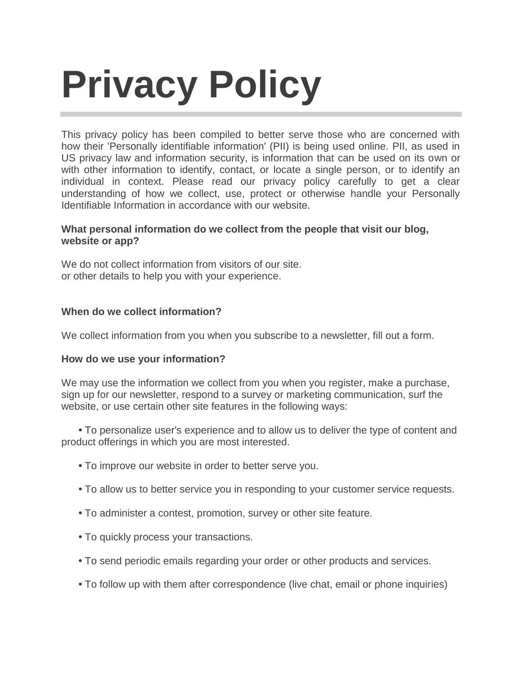# **Privacy Policy**

This privacy policy has been compiled to better serve those who are concerned with how their 'Personally identifiable information' (PII) is being used online. PII, as used in US privacy law and information security, is information that can be used on its own or with other information to identify, contact, or locate a single person, or to identify an individual in context. Please read our privacy policy carefully to get a clear understanding of how we collect, use, protect or otherwise handle your Personally Identifiable Information in accordance with our website.

## **What personal information do we collect from the people that visit our blog, website or app?**

We do not collect information from visitors of our site. or other details to help you with your experience.

## **When do we collect information?**

We collect information from you when you subscribe to a newsletter, fill out a form.

#### **How do we use your information?**

We may use the information we collect from you when you register, make a purchase, sign up for our newsletter, respond to a survey or marketing communication, surf the website, or use certain other site features in the following ways:

 **•** To personalize user's experience and to allow us to deliver the type of content and product offerings in which you are most interested.

- **•** To improve our website in order to better serve you.
- **•** To allow us to better service you in responding to your customer service requests.
- **•** To administer a contest, promotion, survey or other site feature.
- **•** To quickly process your transactions.
- **•** To send periodic emails regarding your order or other products and services.
- **•** To follow up with them after correspondence (live chat, email or phone inquiries)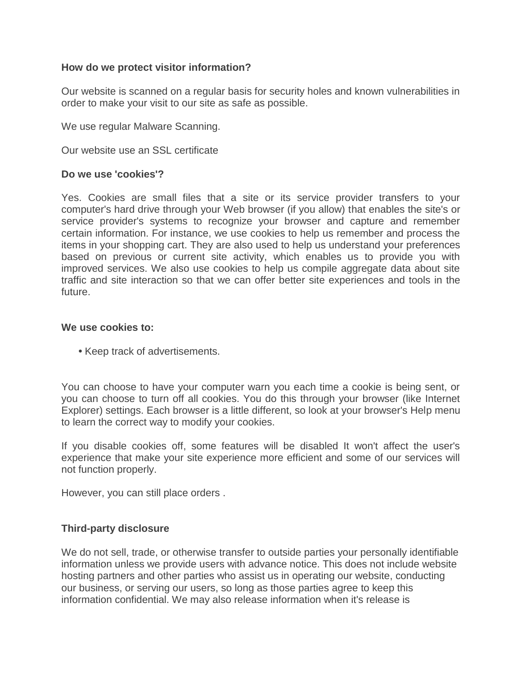#### **How do we protect visitor information?**

Our website is scanned on a regular basis for security holes and known vulnerabilities in order to make your visit to our site as safe as possible.

We use regular Malware Scanning.

Our website use an SSL certificate

#### **Do we use 'cookies'?**

Yes. Cookies are small files that a site or its service provider transfers to your computer's hard drive through your Web browser (if you allow) that enables the site's or service provider's systems to recognize your browser and capture and remember certain information. For instance, we use cookies to help us remember and process the items in your shopping cart. They are also used to help us understand your preferences based on previous or current site activity, which enables us to provide you with improved services. We also use cookies to help us compile aggregate data about site traffic and site interaction so that we can offer better site experiences and tools in the future.

#### **We use cookies to:**

**•** Keep track of advertisements.

You can choose to have your computer warn you each time a cookie is being sent, or you can choose to turn off all cookies. You do this through your browser (like Internet Explorer) settings. Each browser is a little different, so look at your browser's Help menu to learn the correct way to modify your cookies.

If you disable cookies off, some features will be disabled It won't affect the user's experience that make your site experience more efficient and some of our services will not function properly.

However, you can still place orders .

#### **Third-party disclosure**

We do not sell, trade, or otherwise transfer to outside parties your personally identifiable information unless we provide users with advance notice. This does not include website hosting partners and other parties who assist us in operating our website, conducting our business, or serving our users, so long as those parties agree to keep this information confidential. We may also release information when it's release is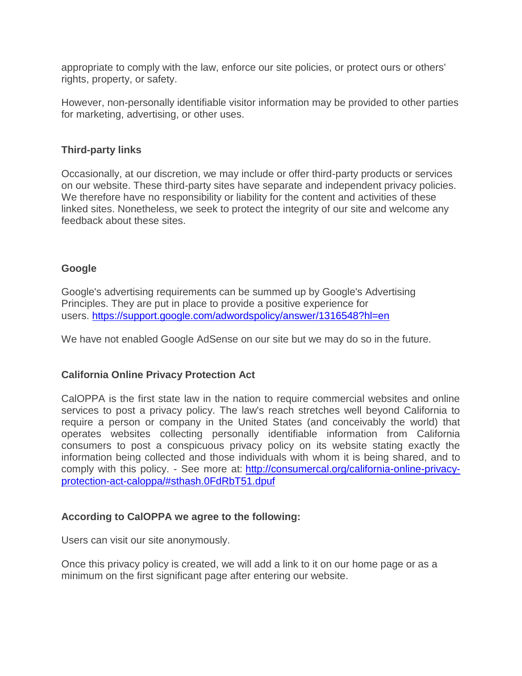appropriate to comply with the law, enforce our site policies, or protect ours or others' rights, property, or safety.

However, non-personally identifiable visitor information may be provided to other parties for marketing, advertising, or other uses.

#### **Third-party links**

Occasionally, at our discretion, we may include or offer third-party products or services on our website. These third-party sites have separate and independent privacy policies. We therefore have no responsibility or liability for the content and activities of these linked sites. Nonetheless, we seek to protect the integrity of our site and welcome any feedback about these sites.

## **Google**

Google's advertising requirements can be summed up by Google's Advertising Principles. They are put in place to provide a positive experience for users. <https://support.google.com/adwordspolicy/answer/1316548?hl=en>

We have not enabled Google AdSense on our site but we may do so in the future.

#### **California Online Privacy Protection Act**

CalOPPA is the first state law in the nation to require commercial websites and online services to post a privacy policy. The law's reach stretches well beyond California to require a person or company in the United States (and conceivably the world) that operates websites collecting personally identifiable information from California consumers to post a conspicuous privacy policy on its website stating exactly the information being collected and those individuals with whom it is being shared, and to comply with this policy. - See more at: [http://consumercal.org/california-online-privacy](http://consumercal.org/california-online-privacy-protection-act-caloppa/#sthash.0FdRbT51.dpuf)[protection-act-caloppa/#sthash.0FdRbT51.dpuf](http://consumercal.org/california-online-privacy-protection-act-caloppa/#sthash.0FdRbT51.dpuf)

#### **According to CalOPPA we agree to the following:**

Users can visit our site anonymously.

Once this privacy policy is created, we will add a link to it on our home page or as a minimum on the first significant page after entering our website.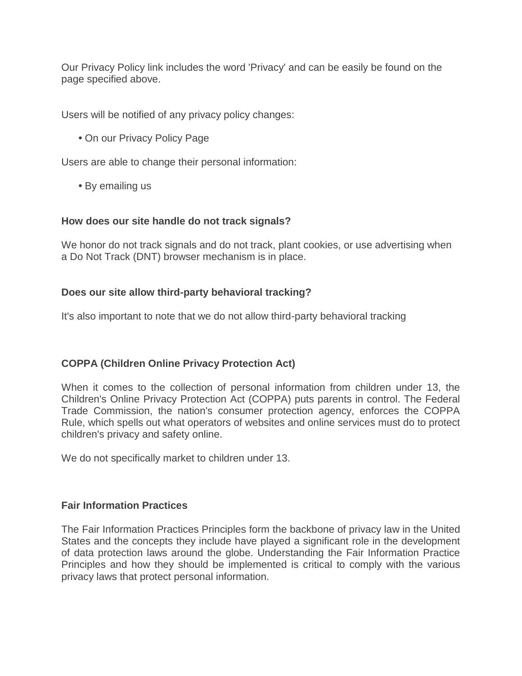Our Privacy Policy link includes the word 'Privacy' and can be easily be found on the page specified above.

Users will be notified of any privacy policy changes:

**•** On our Privacy Policy Page

Users are able to change their personal information:

**•** By emailing us

## **How does our site handle do not track signals?**

We honor do not track signals and do not track, plant cookies, or use advertising when a Do Not Track (DNT) browser mechanism is in place.

# **Does our site allow third-party behavioral tracking?**

It's also important to note that we do not allow third-party behavioral tracking

# **COPPA (Children Online Privacy Protection Act)**

When it comes to the collection of personal information from children under 13, the Children's Online Privacy Protection Act (COPPA) puts parents in control. The Federal Trade Commission, the nation's consumer protection agency, enforces the COPPA Rule, which spells out what operators of websites and online services must do to protect children's privacy and safety online.

We do not specifically market to children under 13.

#### **Fair Information Practices**

The Fair Information Practices Principles form the backbone of privacy law in the United States and the concepts they include have played a significant role in the development of data protection laws around the globe. Understanding the Fair Information Practice Principles and how they should be implemented is critical to comply with the various privacy laws that protect personal information.